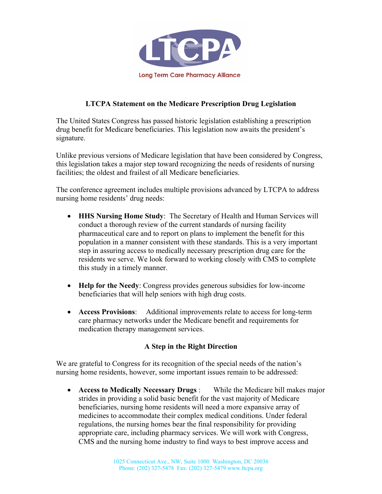

## **LTCPA Statement on the Medicare Prescription Drug Legislation**

The United States Congress has passed historic legislation establishing a prescription drug benefit for Medicare beneficiaries. This legislation now awaits the president's signature.

Unlike previous versions of Medicare legislation that have been considered by Congress, this legislation takes a major step toward recognizing the needs of residents of nursing facilities; the oldest and frailest of all Medicare beneficiaries.

The conference agreement includes multiple provisions advanced by LTCPA to address nursing home residents' drug needs:

- **HHS Nursing Home Study**: The Secretary of Health and Human Services will conduct a thorough review of the current standards of nursing facility pharmaceutical care and to report on plans to implement the benefit for this population in a manner consistent with these standards. This is a very important step in assuring access to medically necessary prescription drug care for the residents we serve. We look forward to working closely with CMS to complete this study in a timely manner.
- **Help for the Needy**: Congress provides generous subsidies for low-income beneficiaries that will help seniors with high drug costs.
- **Access Provisions**: Additional improvements relate to access for long-term care pharmacy networks under the Medicare benefit and requirements for medication therapy management services.

## **A Step in the Right Direction**

We are grateful to Congress for its recognition of the special needs of the nation's nursing home residents, however, some important issues remain to be addressed:

• **Access to Medically Necessary Drugs** : While the Medicare bill makes major strides in providing a solid basic benefit for the vast majority of Medicare beneficiaries, nursing home residents will need a more expansive array of medicines to accommodate their complex medical conditions. Under federal regulations, the nursing homes bear the final responsibility for providing appropriate care, including pharmacy services. We will work with Congress, CMS and the nursing home industry to find ways to best improve access and